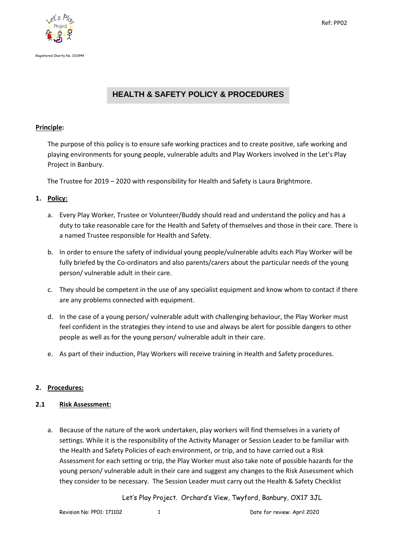



# **HEALTH & SAFETY POLICY & PROCEDURES**

## **Principle:**

The purpose of this policy is to ensure safe working practices and to create positive, safe working and playing environments for young people, vulnerable adults and Play Workers involved in the Let's Play Project in Banbury.

The Trustee for 2019 – 2020 with responsibility for Health and Safety is Laura Brightmore.

## **1. Policy:**

- a. Every Play Worker, Trustee or Volunteer/Buddy should read and understand the policy and has a duty to take reasonable care for the Health and Safety of themselves and those in their care. There is a named Trustee responsible for Health and Safety.
- b. In order to ensure the safety of individual young people/vulnerable adults each Play Worker will be fully briefed by the Co-ordinators and also parents/carers about the particular needs of the young person/ vulnerable adult in their care.
- c. They should be competent in the use of any specialist equipment and know whom to contact if there are any problems connected with equipment.
- d. In the case of a young person/ vulnerable adult with challenging behaviour, the Play Worker must feel confident in the strategies they intend to use and always be alert for possible dangers to other people as well as for the young person/ vulnerable adult in their care.
- e. As part of their induction, Play Workers will receive training in Health and Safety procedures.

## **2. Procedures:**

## **2.1 Risk Assessment:**

a. Because of the nature of the work undertaken, play workers will find themselves in a variety of settings. While it is the responsibility of the Activity Manager or Session Leader to be familiar with the Health and Safety Policies of each environment, or trip, and to have carried out a Risk Assessment for each setting or trip, the Play Worker must also take note of possible hazards for the young person/ vulnerable adult in their care and suggest any changes to the Risk Assessment which they consider to be necessary. The Session Leader must carry out the Health & Safety Checklist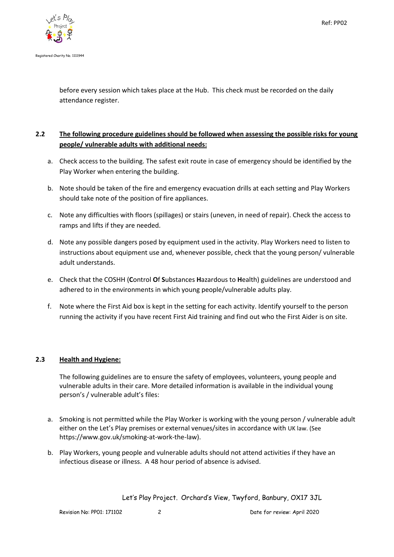

before every session which takes place at the Hub. This check must be recorded on the daily attendance register.

## **2.2 The following procedure guidelines should be followed when assessing the possible risks for young people/ vulnerable adults with additional needs:**

- a. Check access to the building. The safest exit route in case of emergency should be identified by the Play Worker when entering the building.
- b. Note should be taken of the fire and emergency evacuation drills at each setting and Play Workers should take note of the position of fire appliances.
- c. Note any difficulties with floors (spillages) or stairs (uneven, in need of repair). Check the access to ramps and lifts if they are needed.
- d. Note any possible dangers posed by equipment used in the activity. Play Workers need to listen to instructions about equipment use and, whenever possible, check that the young person/ vulnerable adult understands.
- e. Check that the COSHH (**C**ontrol **O**f **S**ubstances **H**azardous to **H**ealth) guidelines are understood and adhered to in the environments in which young people/vulnerable adults play.
- f. Note where the First Aid box is kept in the setting for each activity. Identify yourself to the person running the activity if you have recent First Aid training and find out who the First Aider is on site.

## **2.3 Health and Hygiene:**

The following guidelines are to ensure the safety of employees, volunteers, young people and vulnerable adults in their care. More detailed information is available in the individual young person's / vulnerable adult's files:

- a. Smoking is not permitted while the Play Worker is working with the young person / vulnerable adult either on the Let's Play premises or external venues/sites in accordance with UK law. (See https://www.gov.uk/smoking-at-work-the-law).
- b. Play Workers, young people and vulnerable adults should not attend activities if they have an infectious disease or illness. A 48 hour period of absence is advised.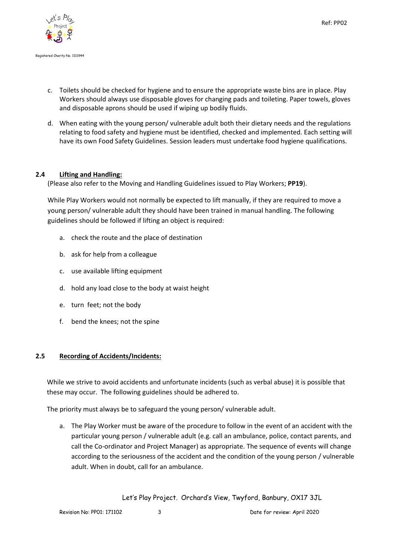

- c. Toilets should be checked for hygiene and to ensure the appropriate waste bins are in place. Play Workers should always use disposable gloves for changing pads and toileting. Paper towels, gloves and disposable aprons should be used if wiping up bodily fluids.
- d. When eating with the young person/ vulnerable adult both their dietary needs and the regulations relating to food safety and hygiene must be identified, checked and implemented. Each setting will have its own Food Safety Guidelines. Session leaders must undertake food hygiene qualifications.

## **2.4 Lifting and Handling:**

(Please also refer to the Moving and Handling Guidelines issued to Play Workers; **PP19**).

While Play Workers would not normally be expected to lift manually, if they are required to move a young person/ vulnerable adult they should have been trained in manual handling. The following guidelines should be followed if lifting an object is required:

- a. check the route and the place of destination
- b. ask for help from a colleague
- c. use available lifting equipment
- d. hold any load close to the body at waist height
- e. turn feet; not the body
- f. bend the knees; not the spine

#### **2.5 Recording of Accidents/Incidents:**

While we strive to avoid accidents and unfortunate incidents (such as verbal abuse) it is possible that these may occur. The following guidelines should be adhered to.

The priority must always be to safeguard the young person/ vulnerable adult.

a. The Play Worker must be aware of the procedure to follow in the event of an accident with the particular young person / vulnerable adult (e.g. call an ambulance, police, contact parents, and call the Co-ordinator and Project Manager) as appropriate. The sequence of events will change according to the seriousness of the accident and the condition of the young person / vulnerable adult. When in doubt, call for an ambulance.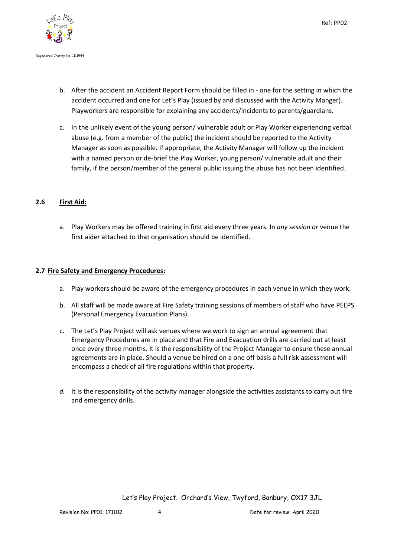

- b. After the accident an Accident Report Form should be filled in one for the setting in which the accident occurred and one for Let's Play (issued by and discussed with the Activity Manger). Playworkers are responsible for explaining any accidents/incidents to parents/guardians.
- c. In the unlikely event of the young person/ vulnerable adult or Play Worker experiencing verbal abuse (e.g. from a member of the public) the incident should be reported to the Activity Manager as soon as possible. If appropriate, the Activity Manager will follow up the incident with a named person or de-brief the Play Worker, young person/ vulnerable adult and their family, if the person/member of the general public issuing the abuse has not been identified.

## **2.6 First Aid:**

a. Play Workers may be offered training in first aid every three years. In *any session or* venue the first aider attached to that organisation should be identified.

#### **2.7 Fire Safety and Emergency Procedures:**

- a. Play workers should be aware of the emergency procedures in each venue in which they work.
- b. All staff will be made aware at Fire Safety training sessions of members of staff who have PEEPS (Personal Emergency Evacuation Plans).
- c. The Let's Play Project will ask venues where we work to sign an annual agreement that Emergency Procedures are in place and that Fire and Evacuation drills are carried out at least once every three months. It is the responsibility of the Project Manager to ensure these annual agreements are in place. Should a venue be hired on a one off basis a full risk assessment will encompass a check of all fire regulations within that property.
- *d.* It is the responsibility of the activity manager alongside the activities assistants to carry out fire and emergency drills.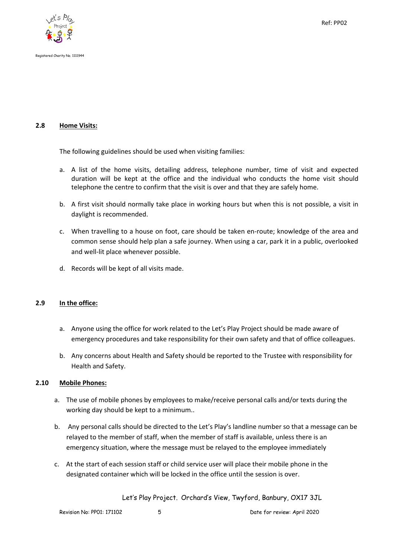



#### **2.8 Home Visits:**

The following guidelines should be used when visiting families:

- a. A list of the home visits, detailing address, telephone number, time of visit and expected duration will be kept at the office and the individual who conducts the home visit should telephone the centre to confirm that the visit is over and that they are safely home.
- b. A first visit should normally take place in working hours but when this is not possible, a visit in daylight is recommended.
- c. When travelling to a house on foot, care should be taken en-route; knowledge of the area and common sense should help plan a safe journey. When using a car, park it in a public, overlooked and well-lit place whenever possible.
- d. Records will be kept of all visits made.

## **2.9 In the office:**

- a. Anyone using the office for work related to the Let's Play Project should be made aware of emergency procedures and take responsibility for their own safety and that of office colleagues.
- b. Any concerns about Health and Safety should be reported to the Trustee with responsibility for Health and Safety.

## **2.10 Mobile Phones:**

- a. The use of mobile phones by employees to make/receive personal calls and/or texts during the working day should be kept to a minimum..
- b. Any personal calls should be directed to the Let's Play's landline number so that a message can be relayed to the member of staff, when the member of staff is available, unless there is an emergency situation, where the message must be relayed to the employee immediately
- c. At the start of each session staff or child service user will place their mobile phone in the designated container which will be locked in the office until the session is over.